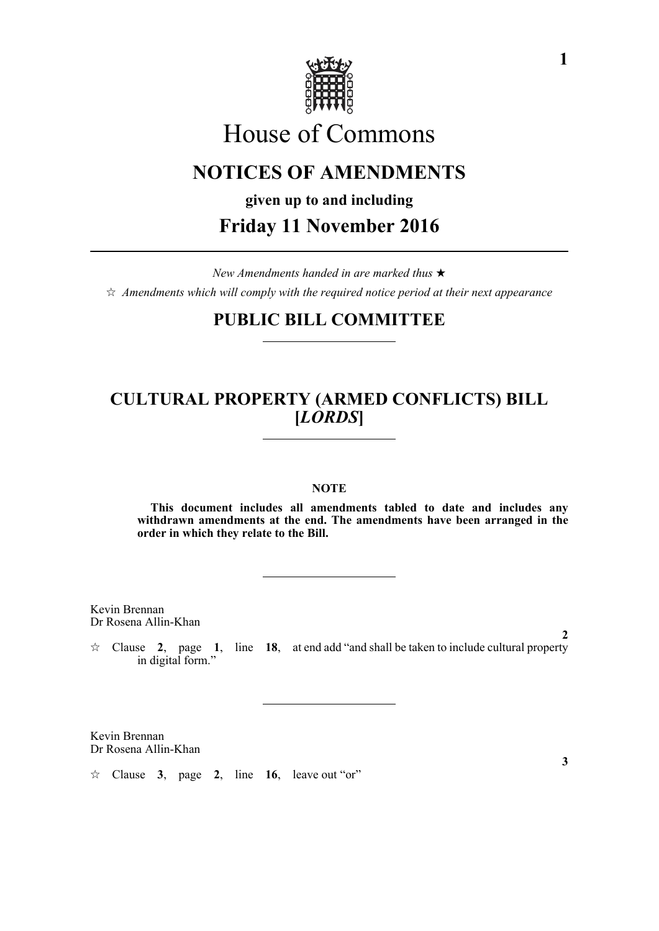

# House of Commons

# **NOTICES OF AMENDMENTS**

**given up to and including**

## **Friday 11 November 2016**

*New Amendments handed in are marked thus*   $\hat{\mathcal{A}}$  Amendments which will comply with the required notice period at their next appearance

### **PUBLIC BILL COMMITTEE**

### **CULTURAL PROPERTY (ARMED CONFLICTS) BILL [***LORDS***]**

#### **NOTE**

**This document includes all amendments tabled to date and includes any withdrawn amendments at the end. The amendments have been arranged in the order in which they relate to the Bill.**

Kevin Brennan Dr Rosena Allin-Khan

 $\angle$  Clause 2, page 1, line 18, at end add "and shall be taken to include cultural property in digital form."

Kevin Brennan Dr Rosena Allin-Khan

 $\approx$  Clause **3**, page **2**, line **16**, leave out "or"

**2**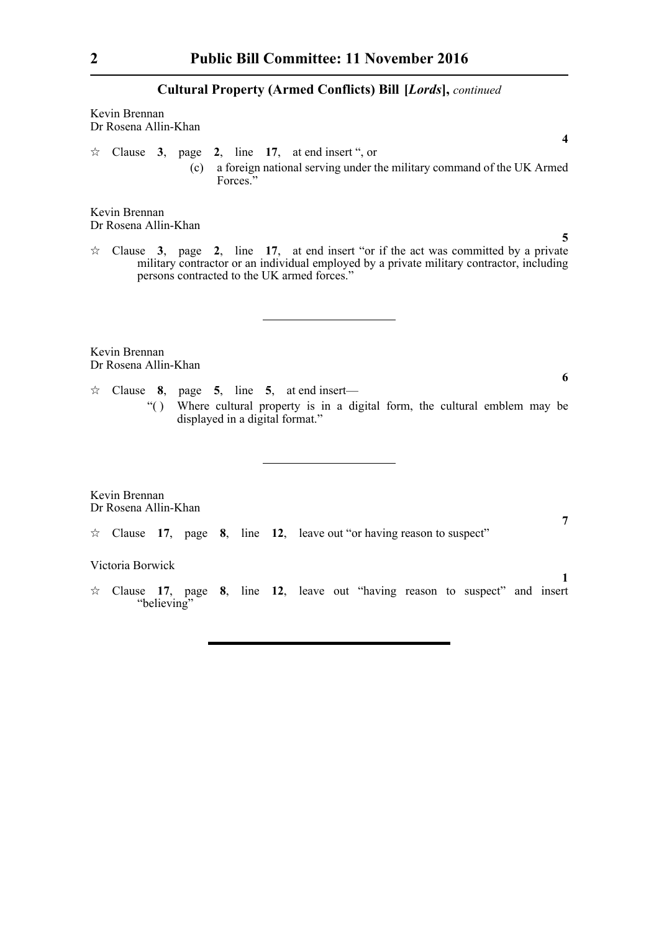Kevin Brennan Dr Rosena Allin-Khan

 $\approx$  Clause **3**, page **2**, line **17**, at end insert ", or (c) a foreign national serving under the military command of the UK Armed Forces."

Kevin Brennan Dr Rosena Allin-Khan

 $\approx$  Clause **3**, page **2**, line **17**, at end insert "or if the act was committed by a private military contractor or an individual employed by a private military contractor, including persons contracted to the UK armed forces."

Kevin Brennan Dr Rosena Allin-Khan

- $\approx$  Clause 8, page 5, line 5, at end insert—
	- "( ) Where cultural property is in a digital form, the cultural emblem may be displayed in a digital format."

Kevin Brennan Dr Rosena Allin-Khan

Clause **17**, page **8**, line **12**, leave out "or having reason to suspect"

#### Victoria Borwick

 $\angle$  Clause 17, page 8, line 12, leave out "having reason to suspect" and insert "believing"

**7**

**1**

**4**

**5**

**6**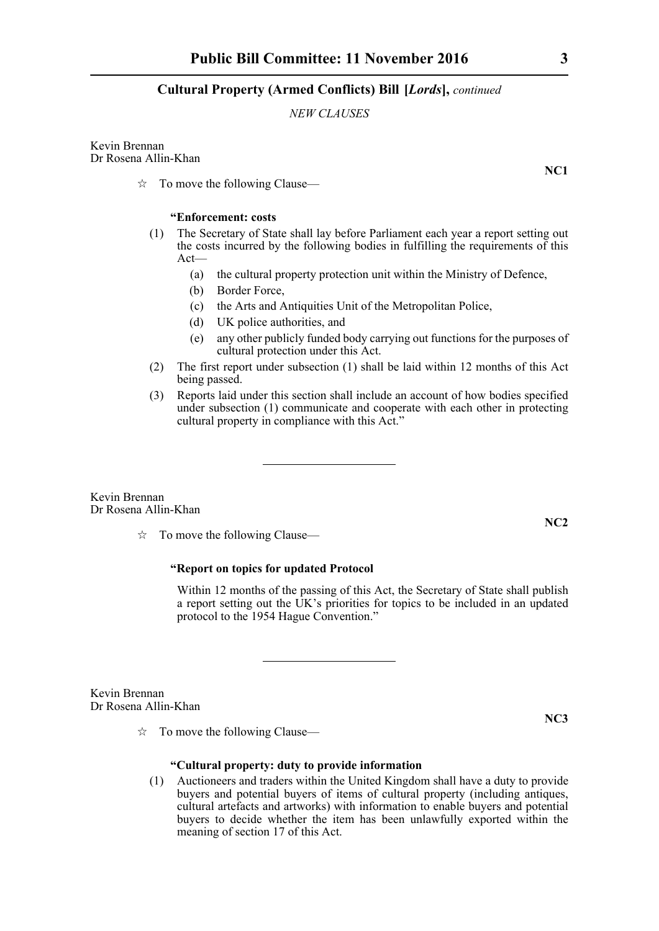#### *NEW CLAUSES*

Kevin Brennan Dr Rosena Allin-Khan

 $\vec{x}$  To move the following Clause—

#### **"Enforcement: costs**

- (1) The Secretary of State shall lay before Parliament each year a report setting out the costs incurred by the following bodies in fulfilling the requirements of this Act—
	- (a) the cultural property protection unit within the Ministry of Defence,
	- (b) Border Force,
	- (c) the Arts and Antiquities Unit of the Metropolitan Police,
	- (d) UK police authorities, and
	- (e) any other publicly funded body carrying out functions for the purposes of cultural protection under this Act.
- (2) The first report under subsection (1) shall be laid within 12 months of this Act being passed.
- (3) Reports laid under this section shall include an account of how bodies specified under subsection (1) communicate and cooperate with each other in protecting cultural property in compliance with this Act."

Kevin Brennan Dr Rosena Allin-Khan

 $\vec{x}$  To move the following Clause—

#### **"Report on topics for updated Protocol**

Within 12 months of the passing of this Act, the Secretary of State shall publish a report setting out the UK's priorities for topics to be included in an updated protocol to the 1954 Hague Convention."

Kevin Brennan Dr Rosena Allin-Khan

 $\vec{x}$  To move the following Clause—

#### **"Cultural property: duty to provide information**

(1) Auctioneers and traders within the United Kingdom shall have a duty to provide buyers and potential buyers of items of cultural property (including antiques, cultural artefacts and artworks) with information to enable buyers and potential buyers to decide whether the item has been unlawfully exported within the meaning of section 17 of this Act.

**NC1**

**NC2**

**NC3**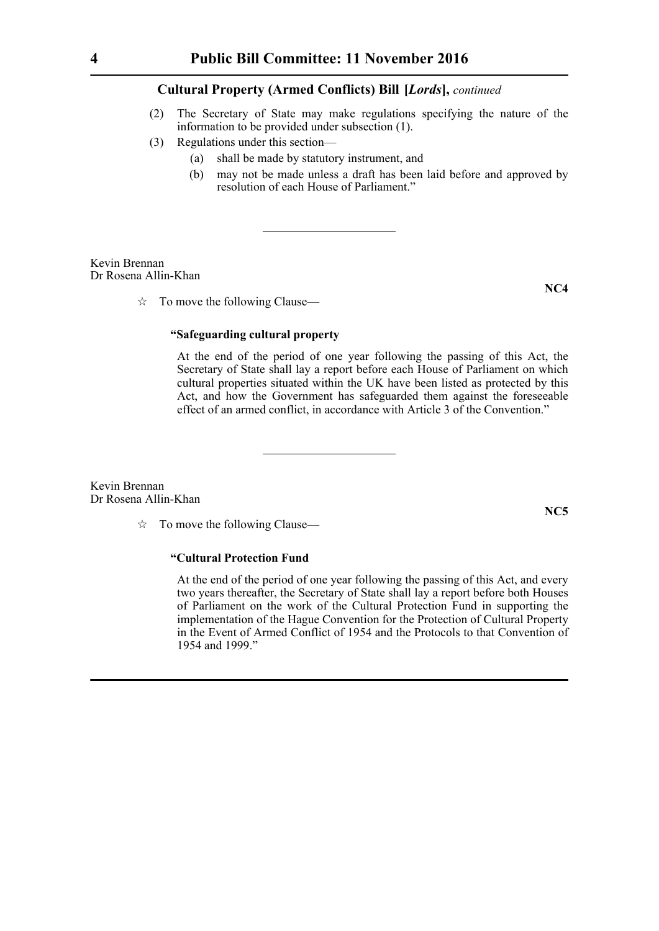- (2) The Secretary of State may make regulations specifying the nature of the information to be provided under subsection (1).
- (3) Regulations under this section—
	- (a) shall be made by statutory instrument, and
	- (b) may not be made unless a draft has been laid before and approved by resolution of each House of Parliament."

Kevin Brennan Dr Rosena Allin-Khan

 $\vec{x}$  To move the following Clause—

#### **NC4**

#### **"Safeguarding cultural property**

At the end of the period of one year following the passing of this Act, the Secretary of State shall lay a report before each House of Parliament on which cultural properties situated within the UK have been listed as protected by this Act, and how the Government has safeguarded them against the foreseeable effect of an armed conflict, in accordance with Article 3 of the Convention."

Kevin Brennan Dr Rosena Allin-Khan

 $\vec{x}$  To move the following Clause—

#### **"Cultural Protection Fund**

At the end of the period of one year following the passing of this Act, and every two years thereafter, the Secretary of State shall lay a report before both Houses of Parliament on the work of the Cultural Protection Fund in supporting the implementation of the Hague Convention for the Protection of Cultural Property in the Event of Armed Conflict of 1954 and the Protocols to that Convention of 1954 and 1999."

**NC5**